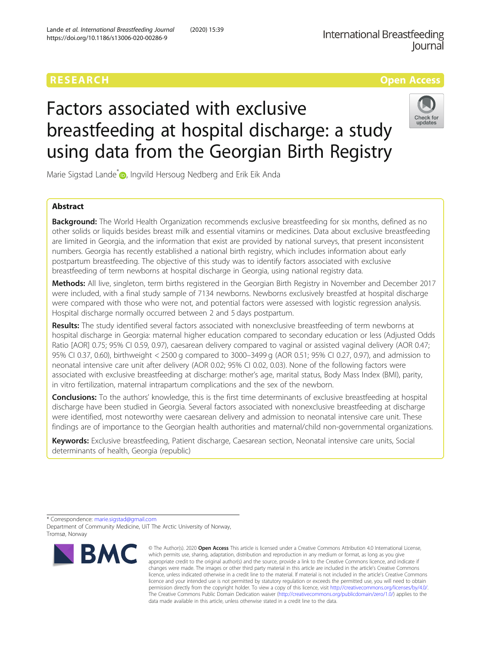# RESEARCH **RESEARCH CONSUMING THE CONSUMING THE CONSUMING THE CONSUMING TENS**

# Factors associated with exclusive breastfeeding at hospital discharge: a study using data from the Georgian Birth Registry



Marie Sigstad Lande<sup>[\\*](http://orcid.org/0000-0002-0084-7573)</sup> <sub>D</sub>, Ingvild Hersoug Nedberg and Erik Eik Anda

# Abstract

**Background:** The World Health Organization recommends exclusive breastfeeding for six months, defined as no other solids or liquids besides breast milk and essential vitamins or medicines. Data about exclusive breastfeeding are limited in Georgia, and the information that exist are provided by national surveys, that present inconsistent numbers. Georgia has recently established a national birth registry, which includes information about early postpartum breastfeeding. The objective of this study was to identify factors associated with exclusive breastfeeding of term newborns at hospital discharge in Georgia, using national registry data.

Methods: All live, singleton, term births registered in the Georgian Birth Registry in November and December 2017 were included, with a final study sample of 7134 newborns. Newborns exclusively breastfed at hospital discharge were compared with those who were not, and potential factors were assessed with logistic regression analysis. Hospital discharge normally occurred between 2 and 5 days postpartum.

Results: The study identified several factors associated with nonexclusive breastfeeding of term newborns at hospital discharge in Georgia: maternal higher education compared to secondary education or less (Adjusted Odds Ratio [AOR] 0.75; 95% CI 0.59, 0.97), caesarean delivery compared to vaginal or assisted vaginal delivery (AOR 0.47; 95% CI 0.37, 0.60), birthweight < 2500 g compared to 3000–3499 g (AOR 0.51; 95% CI 0.27, 0.97), and admission to neonatal intensive care unit after delivery (AOR 0.02; 95% CI 0.02, 0.03). None of the following factors were associated with exclusive breastfeeding at discharge: mother's age, marital status, Body Mass Index (BMI), parity, in vitro fertilization, maternal intrapartum complications and the sex of the newborn.

**Conclusions:** To the authors' knowledge, this is the first time determinants of exclusive breastfeeding at hospital discharge have been studied in Georgia. Several factors associated with nonexclusive breastfeeding at discharge were identified, most noteworthy were caesarean delivery and admission to neonatal intensive care unit. These findings are of importance to the Georgian health authorities and maternal/child non-governmental organizations.

Keywords: Exclusive breastfeeding, Patient discharge, Caesarean section, Neonatal intensive care units, Social determinants of health, Georgia (republic)

\* Correspondence: [marie.sigstad@gmail.com](mailto:marie.sigstad@gmail.com)

Department of Community Medicine, UiT The Arctic University of Norway, Tromsø, Norway



<sup>©</sup> The Author(s), 2020 **Open Access** This article is licensed under a Creative Commons Attribution 4.0 International License, which permits use, sharing, adaptation, distribution and reproduction in any medium or format, as long as you give appropriate credit to the original author(s) and the source, provide a link to the Creative Commons licence, and indicate if changes were made. The images or other third party material in this article are included in the article's Creative Commons licence, unless indicated otherwise in a credit line to the material. If material is not included in the article's Creative Commons licence and your intended use is not permitted by statutory regulation or exceeds the permitted use, you will need to obtain permission directly from the copyright holder. To view a copy of this licence, visit [http://creativecommons.org/licenses/by/4.0/.](http://creativecommons.org/licenses/by/4.0/) The Creative Commons Public Domain Dedication waiver [\(http://creativecommons.org/publicdomain/zero/1.0/](http://creativecommons.org/publicdomain/zero/1.0/)) applies to the data made available in this article, unless otherwise stated in a credit line to the data.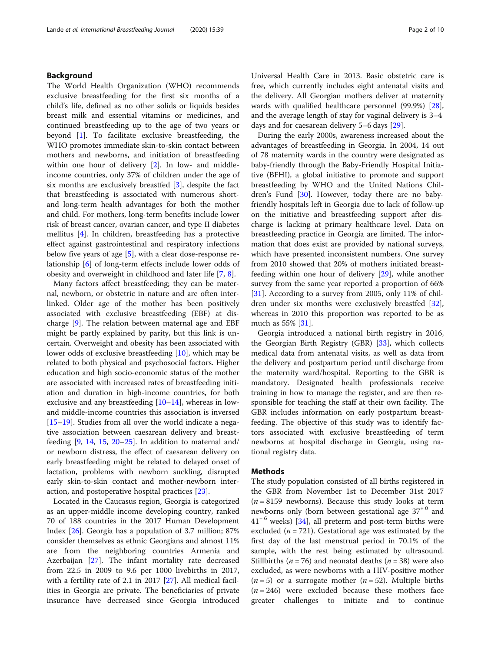# Background

The World Health Organization (WHO) recommends exclusive breastfeeding for the first six months of a child's life, defined as no other solids or liquids besides breast milk and essential vitamins or medicines, and continued breastfeeding up to the age of two years or beyond [[1\]](#page-8-0). To facilitate exclusive breastfeeding, the WHO promotes immediate skin-to-skin contact between mothers and newborns, and initiation of breastfeeding within one hour of delivery [[2\]](#page-8-0). In low- and middleincome countries, only 37% of children under the age of six months are exclusively breastfed [\[3\]](#page-8-0), despite the fact that breastfeeding is associated with numerous shortand long-term health advantages for both the mother and child. For mothers, long-term benefits include lower risk of breast cancer, ovarian cancer, and type II diabetes mellitus [[4\]](#page-8-0). In children, breastfeeding has a protective effect against gastrointestinal and respiratory infections below five years of age  $[5]$  $[5]$ , with a clear dose-response relationship [\[6](#page-8-0)] of long-term effects include lower odds of obesity and overweight in childhood and later life [[7,](#page-8-0) [8\]](#page-8-0).

Many factors affect breastfeeding; they can be maternal, newborn, or obstetric in nature and are often interlinked. Older age of the mother has been positively associated with exclusive breastfeeding (EBF) at discharge [[9\]](#page-8-0). The relation between maternal age and EBF might be partly explained by parity, but this link is uncertain. Overweight and obesity has been associated with lower odds of exclusive breastfeeding [\[10](#page-8-0)], which may be related to both physical and psychosocial factors. Higher education and high socio-economic status of the mother are associated with increased rates of breastfeeding initiation and duration in high-income countries, for both exclusive and any breastfeeding  $[10-14]$  $[10-14]$  $[10-14]$  $[10-14]$  $[10-14]$ , whereas in lowand middle-income countries this association is inversed [[15](#page-8-0)–[19](#page-8-0)]. Studies from all over the world indicate a negative association between caesarean delivery and breastfeeding  $[9, 14, 15, 20-25]$  $[9, 14, 15, 20-25]$  $[9, 14, 15, 20-25]$  $[9, 14, 15, 20-25]$  $[9, 14, 15, 20-25]$  $[9, 14, 15, 20-25]$  $[9, 14, 15, 20-25]$  $[9, 14, 15, 20-25]$  $[9, 14, 15, 20-25]$  $[9, 14, 15, 20-25]$ . In addition to maternal and/ or newborn distress, the effect of caesarean delivery on early breastfeeding might be related to delayed onset of lactation, problems with newborn suckling, disrupted early skin-to-skin contact and mother-newborn interaction, and postoperative hospital practices [[23](#page-8-0)].

Located in the Caucasus region, Georgia is categorized as an upper-middle income developing country, ranked 70 of 188 countries in the 2017 Human Development Index [\[26](#page-8-0)]. Georgia has a population of 3.7 million; 87% consider themselves as ethnic Georgians and almost 11% are from the neighboring countries Armenia and Azerbaijan [\[27\]](#page-9-0). The infant mortality rate decreased from 22.5 in 2009 to 9.6 per 1000 livebirths in 2017, with a fertility rate of 2.1 in 2017 [\[27](#page-9-0)]. All medical facilities in Georgia are private. The beneficiaries of private insurance have decreased since Georgia introduced

Universal Health Care in 2013. Basic obstetric care is free, which currently includes eight antenatal visits and the delivery. All Georgian mothers deliver at maternity wards with qualified healthcare personnel (99.9%) [\[28](#page-9-0)], and the average length of stay for vaginal delivery is 3–4 days and for caesarean delivery 5–6 days [\[29](#page-9-0)].

During the early 2000s, awareness increased about the advantages of breastfeeding in Georgia. In 2004, 14 out of 78 maternity wards in the country were designated as baby-friendly through the Baby-Friendly Hospital Initiative (BFHI), a global initiative to promote and support breastfeeding by WHO and the United Nations Chil-dren's Fund [\[30\]](#page-9-0). However, today there are no babyfriendly hospitals left in Georgia due to lack of follow-up on the initiative and breastfeeding support after discharge is lacking at primary healthcare level. Data on breastfeeding practice in Georgia are limited. The information that does exist are provided by national surveys, which have presented inconsistent numbers. One survey from 2010 showed that 20% of mothers initiated breastfeeding within one hour of delivery [\[29\]](#page-9-0), while another survey from the same year reported a proportion of 66% [[31\]](#page-9-0). According to a survey from 2005, only 11% of children under six months were exclusively breastfed [\[32](#page-9-0)], whereas in 2010 this proportion was reported to be as much as 55% [[31\]](#page-9-0).

Georgia introduced a national birth registry in 2016, the Georgian Birth Registry (GBR) [[33](#page-9-0)], which collects medical data from antenatal visits, as well as data from the delivery and postpartum period until discharge from the maternity ward/hospital. Reporting to the GBR is mandatory. Designated health professionals receive training in how to manage the register, and are then responsible for teaching the staff at their own facility. The GBR includes information on early postpartum breastfeeding. The objective of this study was to identify factors associated with exclusive breastfeeding of term newborns at hospital discharge in Georgia, using national registry data.

# **Methods**

The study population consisted of all births registered in the GBR from November 1st to December 31st 2017  $(n = 8159$  newborns). Because this study looks at term newborns only (born between gestational age  $37<sup>+0</sup>$  and  $41<sup>+6</sup>$  weeks) [[34\]](#page-9-0), all preterm and post-term births were excluded ( $n = 721$ ). Gestational age was estimated by the first day of the last menstrual period in 70.1% of the sample, with the rest being estimated by ultrasound. Stillbirths ( $n = 76$ ) and neonatal deaths ( $n = 38$ ) were also excluded, as were newborns with a HIV-positive mother  $(n=5)$  or a surrogate mother  $(n=52)$ . Multiple births  $(n = 246)$  were excluded because these mothers face greater challenges to initiate and to continue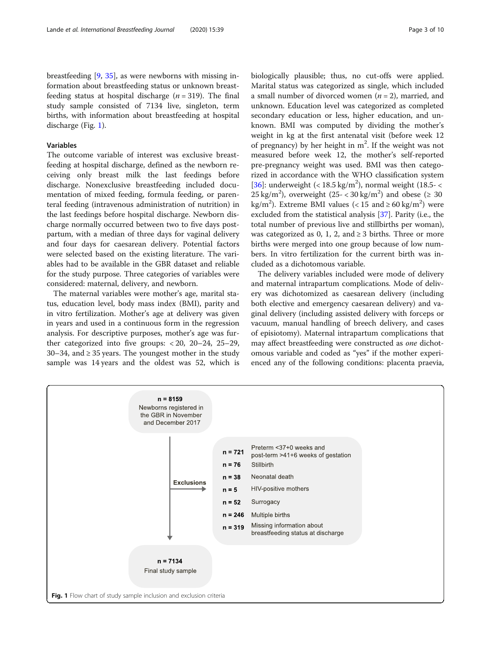# Variables

The outcome variable of interest was exclusive breastfeeding at hospital discharge, defined as the newborn receiving only breast milk the last feedings before discharge. Nonexclusive breastfeeding included documentation of mixed feeding, formula feeding, or parenteral feeding (intravenous administration of nutrition) in the last feedings before hospital discharge. Newborn discharge normally occurred between two to five days postpartum, with a median of three days for vaginal delivery and four days for caesarean delivery. Potential factors were selected based on the existing literature. The variables had to be available in the GBR dataset and reliable for the study purpose. Three categories of variables were considered: maternal, delivery, and newborn.

The maternal variables were mother's age, marital status, education level, body mass index (BMI), parity and in vitro fertilization. Mother's age at delivery was given in years and used in a continuous form in the regression analysis. For descriptive purposes, mother's age was further categorized into five groups: < 20, 20–24, 25–29, 30–34, and  $\geq$  35 years. The youngest mother in the study sample was 14 years and the oldest was 52, which is biologically plausible; thus, no cut-offs were applied. Marital status was categorized as single, which included a small number of divorced women  $(n = 2)$ , married, and unknown. Education level was categorized as completed secondary education or less, higher education, and unknown. BMI was computed by dividing the mother's weight in kg at the first antenatal visit (before week 12 of pregnancy) by her height in  $m^2$ . If the weight was not measured before week 12, the mother's self-reported pre-pregnancy weight was used. BMI was then categorized in accordance with the WHO classification system [ $36$ ]: underweight (<  $18.5 \text{ kg/m}^2$ ), normal weight (18.5-< 25 kg/m<sup>2</sup>), overweight (25 - < 30 kg/m<sup>2</sup>) and obese ( $\geq 30$ kg/m<sup>2</sup>). Extreme BMI values (< 15 and  $\geq 60$  kg/m<sup>2</sup>) were excluded from the statistical analysis [\[37](#page-9-0)]. Parity (i.e., the total number of previous live and stillbirths per woman), was categorized as 0, 1, 2, and  $\geq$  3 births. Three or more births were merged into one group because of low numbers. In vitro fertilization for the current birth was included as a dichotomous variable.

The delivery variables included were mode of delivery and maternal intrapartum complications. Mode of delivery was dichotomized as caesarean delivery (including both elective and emergency caesarean delivery) and vaginal delivery (including assisted delivery with forceps or vacuum, manual handling of breech delivery, and cases of episiotomy). Maternal intrapartum complications that may affect breastfeeding were constructed as one dichotomous variable and coded as "yes" if the mother experienced any of the following conditions: placenta praevia,

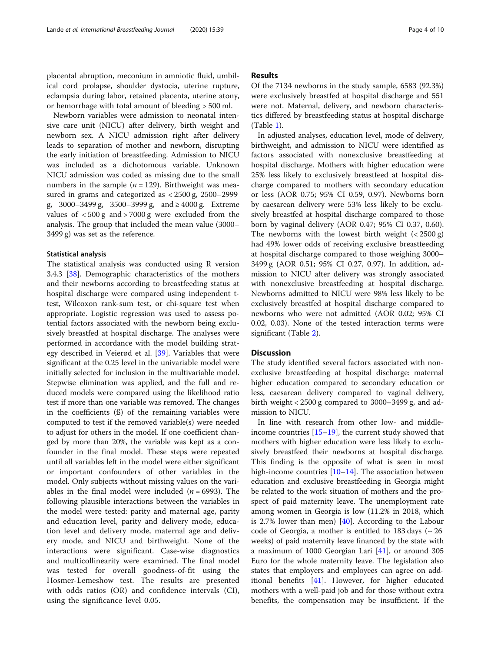placental abruption, meconium in amniotic fluid, umbilical cord prolapse, shoulder dystocia, uterine rupture, eclampsia during labor, retained placenta, uterine atony, or hemorrhage with total amount of bleeding > 500 ml.

Newborn variables were admission to neonatal intensive care unit (NICU) after delivery, birth weight and newborn sex. A NICU admission right after delivery leads to separation of mother and newborn, disrupting the early initiation of breastfeeding. Admission to NICU was included as a dichotomous variable. Unknown NICU admission was coded as missing due to the small numbers in the sample ( $n = 129$ ). Birthweight was measured in grams and categorized as < 2500 g, 2500–2999 g, 3000–3499 g, 3500–3999 g, and ≥ 4000 g. Extreme values of < 500 g and > 7000 g were excluded from the analysis. The group that included the mean value (3000– 3499 g) was set as the reference.

#### Statistical analysis

The statistical analysis was conducted using R version 3.4.3 [[38](#page-9-0)]. Demographic characteristics of the mothers and their newborns according to breastfeeding status at hospital discharge were compared using independent ttest, Wilcoxon rank-sum test, or chi-square test when appropriate. Logistic regression was used to assess potential factors associated with the newborn being exclusively breastfed at hospital discharge. The analyses were performed in accordance with the model building strategy described in Veierød et al. [\[39](#page-9-0)]. Variables that were significant at the 0.25 level in the univariable model were initially selected for inclusion in the multivariable model. Stepwise elimination was applied, and the full and reduced models were compared using the likelihood ratio test if more than one variable was removed. The changes in the coefficients (ß) of the remaining variables were computed to test if the removed variable(s) were needed to adjust for others in the model. If one coefficient changed by more than 20%, the variable was kept as a confounder in the final model. These steps were repeated until all variables left in the model were either significant or important confounders of other variables in the model. Only subjects without missing values on the variables in the final model were included  $(n = 6993)$ . The following plausible interactions between the variables in the model were tested: parity and maternal age, parity and education level, parity and delivery mode, education level and delivery mode, maternal age and delivery mode, and NICU and birthweight. None of the interactions were significant. Case-wise diagnostics and multicollinearity were examined. The final model was tested for overall goodness-of-fit using the Hosmer-Lemeshow test. The results are presented with odds ratios (OR) and confidence intervals (CI), using the significance level 0.05.

# Results

Of the 7134 newborns in the study sample, 6583 (92.3%) were exclusively breastfed at hospital discharge and 551 were not. Maternal, delivery, and newborn characteristics differed by breastfeeding status at hospital discharge (Table [1\)](#page-4-0).

In adjusted analyses, education level, mode of delivery, birthweight, and admission to NICU were identified as factors associated with nonexclusive breastfeeding at hospital discharge. Mothers with higher education were 25% less likely to exclusively breastfeed at hospital discharge compared to mothers with secondary education or less (AOR 0.75; 95% CI 0.59, 0.97). Newborns born by caesarean delivery were 53% less likely to be exclusively breastfed at hospital discharge compared to those born by vaginal delivery (AOR 0.47; 95% CI 0.37, 0.60). The newborns with the lowest birth weight  $( $2500 \text{ g}$ )$ had 49% lower odds of receiving exclusive breastfeeding at hospital discharge compared to those weighing 3000– 3499 g (AOR 0.51; 95% CI 0.27, 0.97). In addition, admission to NICU after delivery was strongly associated with nonexclusive breastfeeding at hospital discharge. Newborns admitted to NICU were 98% less likely to be exclusively breastfed at hospital discharge compared to newborns who were not admitted (AOR 0.02; 95% CI 0.02, 0.03). None of the tested interaction terms were significant (Table [2\)](#page-6-0).

# **Discussion**

The study identified several factors associated with nonexclusive breastfeeding at hospital discharge: maternal higher education compared to secondary education or less, caesarean delivery compared to vaginal delivery, birth weight < 2500 g compared to 3000–3499 g, and admission to NICU.

In line with research from other low- and middleincome countries  $[15–19]$  $[15–19]$  $[15–19]$  $[15–19]$  $[15–19]$ , the current study showed that mothers with higher education were less likely to exclusively breastfeed their newborns at hospital discharge. This finding is the opposite of what is seen in most high-income countries [[10](#page-8-0)–[14](#page-8-0)]. The association between education and exclusive breastfeeding in Georgia might be related to the work situation of mothers and the prospect of paid maternity leave. The unemployment rate among women in Georgia is low (11.2% in 2018, which is 2.7% lower than men) [[40\]](#page-9-0). According to the Labour code of Georgia, a mother is entitled to 183 days ( $\sim$  26 weeks) of paid maternity leave financed by the state with a maximum of 1000 Georgian Lari [[41\]](#page-9-0), or around 305 Euro for the whole maternity leave. The legislation also states that employers and employees can agree on additional benefits [\[41](#page-9-0)]. However, for higher educated mothers with a well-paid job and for those without extra benefits, the compensation may be insufficient. If the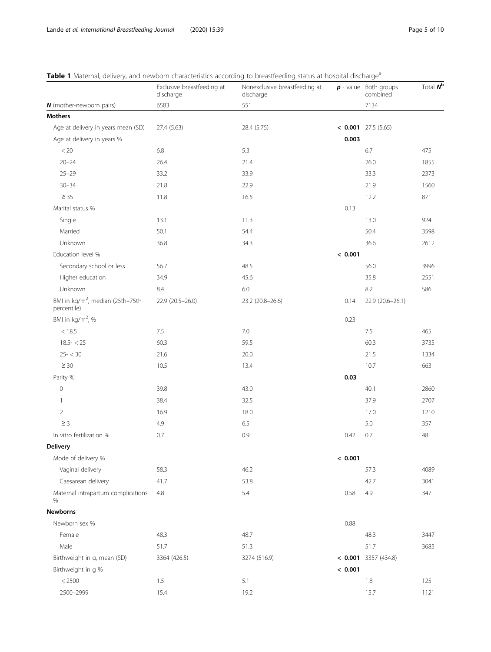<span id="page-4-0"></span>

|  |  |  |  | Table 1 Maternal, delivery, and newborn characteristics according to breastfeeding status at hospital discharge <sup>a</sup> |
|--|--|--|--|------------------------------------------------------------------------------------------------------------------------------|
|  |  |  |  |                                                                                                                              |

|                                                             | Exclusive breastfeeding at<br>discharge | Nonexclusive breastfeeding at<br>discharge |         | $p$ - value Both groups<br>combined | Total $N^b$ |
|-------------------------------------------------------------|-----------------------------------------|--------------------------------------------|---------|-------------------------------------|-------------|
| N (mother-newborn pairs)                                    | 6583                                    | 551                                        |         | 7134                                |             |
| <b>Mothers</b>                                              |                                         |                                            |         |                                     |             |
| Age at delivery in years mean (SD)                          | 27.4 (5.63)                             | 28.4 (5.75)                                |         | $<$ 0.001 27.5 (5.65)               |             |
| Age at delivery in years %                                  |                                         |                                            | 0.003   |                                     |             |
| $< 20$                                                      | 6.8                                     | 5.3                                        |         | 6.7                                 | 475         |
| $20 - 24$                                                   | 26.4                                    | 21.4                                       |         | 26.0                                | 1855        |
| $25 - 29$                                                   | 33.2                                    | 33.9                                       |         | 33.3                                | 2373        |
| $30 - 34$                                                   | 21.8                                    | 22.9                                       |         | 21.9                                | 1560        |
| $\geq 35$                                                   | 11.8                                    | 16.5                                       |         | 12.2                                | 871         |
| Marital status %                                            |                                         |                                            | 0.13    |                                     |             |
| Single                                                      | 13.1                                    | 11.3                                       |         | 13.0                                | 924         |
| Married                                                     | 50.1                                    | 54.4                                       |         | 50.4                                | 3598        |
| Unknown                                                     | 36.8                                    | 34.3                                       |         | 36.6                                | 2612        |
| Education level %                                           |                                         |                                            | < 0.001 |                                     |             |
| Secondary school or less                                    | 56.7                                    | 48.5                                       |         | 56.0                                | 3996        |
| Higher education                                            | 34.9                                    | 45.6                                       |         | 35.8                                | 2551        |
| Unknown                                                     | 8.4                                     | 6.0                                        |         | 8.2                                 | 586         |
| BMI in kg/m <sup>2</sup> , median (25th-75th<br>percentile) | 22.9 (20.5-26.0)                        | 23.2 (20.8-26.6)                           | 0.14    | 22.9 (20.6-26.1)                    |             |
| BMI in kg/m <sup>2</sup> , %                                |                                         |                                            | 0.23    |                                     |             |
| < 18.5                                                      | 7.5                                     | 7.0                                        |         | 7.5                                 | 465         |
| $18.5 - < 25$                                               | 60.3                                    | 59.5                                       |         | 60.3                                | 3735        |
| $25 - < 30$                                                 | 21.6                                    | 20.0                                       |         | 21.5                                | 1334        |
| $\geq 30$                                                   | 10.5                                    | 13.4                                       |         | 10.7                                | 663         |
| Parity %                                                    |                                         |                                            | 0.03    |                                     |             |
| $\mathbf 0$                                                 | 39.8                                    | 43.0                                       |         | 40.1                                | 2860        |
| $\mathbf{1}$                                                | 38.4                                    | 32.5                                       |         | 37.9                                | 2707        |
| $\overline{2}$                                              | 16.9                                    | 18.0                                       |         | 17.0                                | 1210        |
| $\geq$ 3                                                    | 4.9                                     | 6.5                                        |         | 5.0                                 | 357         |
| In vitro fertilization %                                    | 0.7                                     | 0.9                                        | 0.42    | 0.7                                 | 48          |
| <b>Delivery</b>                                             |                                         |                                            |         |                                     |             |
| Mode of delivery %                                          |                                         |                                            | < 0.001 |                                     |             |
| Vaginal delivery                                            | 58.3                                    | 46.2                                       |         | 57.3                                | 4089        |
| Caesarean delivery                                          | 41.7                                    | 53.8                                       |         | 42.7                                | 3041        |
| Maternal intrapartum complications<br>$\%$                  | 4.8                                     | 5.4                                        | 0.58    | 4.9                                 | 347         |
| <b>Newborns</b>                                             |                                         |                                            |         |                                     |             |
| Newborn sex %                                               |                                         |                                            | 0.88    |                                     |             |
| Female                                                      | 48.3                                    | 48.7                                       |         | 48.3                                | 3447        |
| Male                                                        | 51.7                                    | 51.3                                       |         | 51.7                                | 3685        |
| Birthweight in g, mean (SD)                                 | 3364 (426.5)                            | 3274 (516.9)                               |         | $< 0.001$ 3357 (434.8)              |             |
| Birthweight in g %                                          |                                         |                                            | < 0.001 |                                     |             |
| < 2500                                                      | 1.5                                     | 5.1                                        |         | 1.8                                 | 125         |
| 2500-2999                                                   | 15.4                                    | 19.2                                       |         | 15.7                                | 1121        |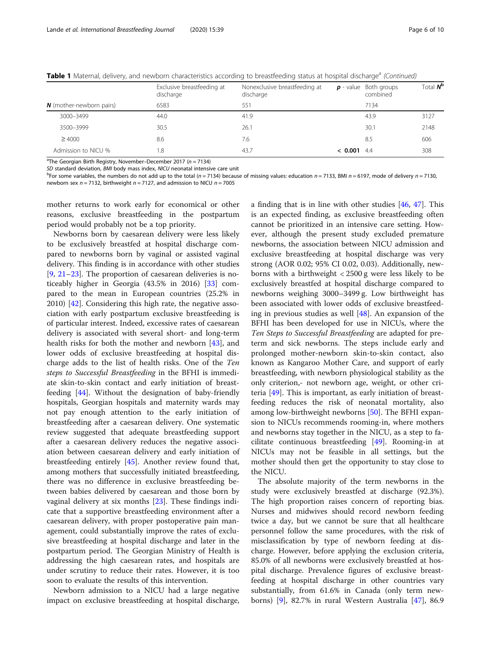|                                 | Exclusive breastfeeding at<br>discharge | Nonexclusive breastfeeding at<br>discharge |         | $p$ - value Both groups<br>combined | Total $N^b$ |
|---------------------------------|-----------------------------------------|--------------------------------------------|---------|-------------------------------------|-------------|
| <b>N</b> (mother-newborn pairs) | 6583                                    | 551                                        |         | 7134                                |             |
| 3000-3499                       | 44.0                                    | 41.9                                       |         | 43.9                                | 3127        |
| 3500-3999                       | 30.5                                    | 26.1                                       |         | 30.1                                | 2148        |
| $\geq 4000$                     | 8.6                                     | 7.6                                        |         | 8.5                                 | 606         |
| Admission to NICU %             | 8.                                      | 43.7                                       | < 0.001 | -4.4                                | 308         |

Table 1 Maternal, delivery, and newborn characteristics according to breastfeeding status at hospital discharge<sup>a</sup> (Continued)

 $\textdegree$ The Georgian Birth Registry, November–December 2017 (n = 7134)

SD standard deviation, BMI body mass index, NICU neonatal intensive care unit

<sup>b</sup>For some variables, the numbers do not add up to the total (n = 7134) because of missing values: education n = 7133, BMI n = 6197, mode of delivery n = 7130, newborn sex  $n = 7132$ , birthweight  $n = 7127$ , and admission to NICU  $n = 7005$ 

mother returns to work early for economical or other reasons, exclusive breastfeeding in the postpartum period would probably not be a top priority.

Newborns born by caesarean delivery were less likely to be exclusively breastfed at hospital discharge compared to newborns born by vaginal or assisted vaginal delivery. This finding is in accordance with other studies [[9,](#page-8-0) [21](#page-8-0)–[23\]](#page-8-0). The proportion of caesarean deliveries is noticeably higher in Georgia (43.5% in 2016) [\[33\]](#page-9-0) compared to the mean in European countries (25.2% in 2010) [[42\]](#page-9-0). Considering this high rate, the negative association with early postpartum exclusive breastfeeding is of particular interest. Indeed, excessive rates of caesarean delivery is associated with several short- and long-term health risks for both the mother and newborn [[43\]](#page-9-0), and lower odds of exclusive breastfeeding at hospital discharge adds to the list of health risks. One of the Ten steps to Successful Breastfeeding in the BFHI is immediate skin-to-skin contact and early initiation of breastfeeding [\[44](#page-9-0)]. Without the designation of baby-friendly hospitals, Georgian hospitals and maternity wards may not pay enough attention to the early initiation of breastfeeding after a caesarean delivery. One systematic review suggested that adequate breastfeeding support after a caesarean delivery reduces the negative association between caesarean delivery and early initiation of breastfeeding entirely [[45\]](#page-9-0). Another review found that, among mothers that successfully initiated breastfeeding, there was no difference in exclusive breastfeeding between babies delivered by caesarean and those born by vaginal delivery at six months [\[23\]](#page-8-0). These findings indicate that a supportive breastfeeding environment after a caesarean delivery, with proper postoperative pain management, could substantially improve the rates of exclusive breastfeeding at hospital discharge and later in the postpartum period. The Georgian Ministry of Health is addressing the high caesarean rates, and hospitals are under scrutiny to reduce their rates. However, it is too soon to evaluate the results of this intervention.

Newborn admission to a NICU had a large negative impact on exclusive breastfeeding at hospital discharge, a finding that is in line with other studies [\[46,](#page-9-0) [47](#page-9-0)]. This is an expected finding, as exclusive breastfeeding often cannot be prioritized in an intensive care setting. However, although the present study excluded premature newborns, the association between NICU admission and exclusive breastfeeding at hospital discharge was very strong (AOR 0.02; 95% CI 0.02, 0.03). Additionally, newborns with a birthweight < 2500 g were less likely to be exclusively breastfed at hospital discharge compared to newborns weighing 3000–3499 g. Low birthweight has been associated with lower odds of exclusive breastfeeding in previous studies as well [[48\]](#page-9-0). An expansion of the BFHI has been developed for use in NICUs, where the Ten Steps to Successful Breastfeeding are adapted for preterm and sick newborns. The steps include early and prolonged mother-newborn skin-to-skin contact, also known as Kangaroo Mother Care, and support of early breastfeeding, with newborn physiological stability as the only criterion,- not newborn age, weight, or other criteria  $[49]$  $[49]$ . This is important, as early initiation of breastfeeding reduces the risk of neonatal mortality, also among low-birthweight newborns [[50\]](#page-9-0). The BFHI expansion to NICUs recommends rooming-in, where mothers and newborns stay together in the NICU, as a step to facilitate continuous breastfeeding [\[49](#page-9-0)]. Rooming-in at NICUs may not be feasible in all settings, but the mother should then get the opportunity to stay close to the NICU.

The absolute majority of the term newborns in the study were exclusively breastfed at discharge (92.3%). The high proportion raises concern of reporting bias. Nurses and midwives should record newborn feeding twice a day, but we cannot be sure that all healthcare personnel follow the same procedures, with the risk of misclassification by type of newborn feeding at discharge. However, before applying the exclusion criteria, 85.0% of all newborns were exclusively breastfed at hospital discharge. Prevalence figures of exclusive breastfeeding at hospital discharge in other countries vary substantially, from 61.6% in Canada (only term newborns) [[9\]](#page-8-0), 82.7% in rural Western Australia [\[47\]](#page-9-0), 86.9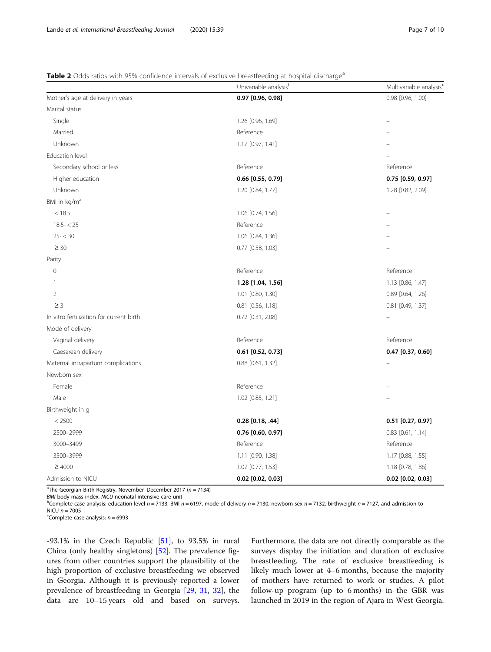#### <span id="page-6-0"></span>Table 2 Odds ratios with 95% confidence intervals of exclusive breastfeeding at hospital discharge<sup>a</sup>

|                                          | Univariable analysis <sup>b</sup> | Multivariable analysis <sup>c</sup> |  |
|------------------------------------------|-----------------------------------|-------------------------------------|--|
| Mother's age at delivery in years        | 0.97 [0.96, 0.98]                 | 0.98 [0.96, 1.00]                   |  |
| Marital status                           |                                   |                                     |  |
| Single                                   | 1.26 [0.96, 1.69]                 |                                     |  |
| Married                                  | Reference                         |                                     |  |
| Unknown                                  | 1.17 [0.97, 1.41]                 |                                     |  |
| Education level                          |                                   |                                     |  |
| Secondary school or less                 | Reference                         | Reference                           |  |
| Higher education                         | 0.66 [0.55, 0.79]                 | 0.75 [0.59, 0.97]                   |  |
| Unknown                                  | 1.20 [0.84, 1.77]                 | 1.28 [0.82, 2.09]                   |  |
| BMI in kg/m <sup>2</sup>                 |                                   |                                     |  |
| < 18.5                                   | 1.06 [0.74, 1.56]                 |                                     |  |
| $18.5 - < 25$                            | Reference                         |                                     |  |
| $25 - < 30$                              | 1.06 [0.84, 1.36]                 |                                     |  |
| $\geq 30$                                | 0.77 [0.58, 1.03]                 |                                     |  |
| Parity                                   |                                   |                                     |  |
| $\circ$                                  | Reference                         | Reference                           |  |
| 1                                        | 1.28 [1.04, 1.56]                 | 1.13 [0.86, 1.47]                   |  |
| $\overline{2}$                           | 1.01 [0.80, 1.30]                 | 0.89 [0.64, 1.26]                   |  |
| $\geq$ 3                                 | $0.81$ $[0.56, 1.18]$             | 0.81 [0.49, 1.37]                   |  |
| In vitro fertilization for current birth | 0.72 [0.31, 2.08]                 |                                     |  |
| Mode of delivery                         |                                   |                                     |  |
| Vaginal delivery                         | Reference                         | Reference                           |  |
| Caesarean delivery                       | $0.61$ [0.52, 0.73]               | $0.47$ [0.37, 0.60]                 |  |
| Maternal intrapartum complications       | $0.88$ $[0.61, 1.32]$             |                                     |  |
| Newborn sex                              |                                   |                                     |  |
| Female                                   | Reference                         |                                     |  |
| Male                                     | 1.02 [0.85, 1.21]                 |                                     |  |
| Birthweight in g                         |                                   |                                     |  |
| < 2500                                   | $0.28$ [0.18, .44]                | $0.51$ [0.27, 0.97]                 |  |
| 2500-2999                                | $0.76$ [0.60, 0.97]               | $0.83$ $[0.61, 1.14]$               |  |
| 3000-3499                                | Reference                         | Reference                           |  |
| 3500-3999                                | 1.11 [0.90, 1.38]                 | 1.17 [0.88, 1.55]                   |  |
| $\geq 4000$                              | 1.07 [0.77, 1.53]                 | 1.18 [0.78, 1.86]                   |  |
| Admission to NICU                        | $0.02$ [0.02, 0.03]               | $0.02$ [0.02, 0.03]                 |  |

 $^{\circ}$ The Georgian Birth Registry, November–December 2017 (n = 7134)

BMI body mass index, NICU neonatal intensive care unit

<sup>b</sup>Complete case analysis: education level  $n = 7133$ , BMI  $n = 6197$ , mode of delivery  $n = 7130$ , newborn sex  $n = 7132$ , birthweight  $n = 7127$ , and admission to NICU *n* = 7005<br><sup>c</sup>Complete case analysis: *n* = 6993

 $-93.1\%$  in the Czech Republic  $[51]$  $[51]$ , to  $93.5\%$  in rural China (only healthy singletons) [[52\]](#page-9-0). The prevalence figures from other countries support the plausibility of the high proportion of exclusive breastfeeding we observed in Georgia. Although it is previously reported a lower prevalence of breastfeeding in Georgia [\[29,](#page-9-0) [31](#page-9-0), [32](#page-9-0)], the data are 10–15 years old and based on surveys.

Furthermore, the data are not directly comparable as the surveys display the initiation and duration of exclusive breastfeeding. The rate of exclusive breastfeeding is likely much lower at 4–6 months, because the majority of mothers have returned to work or studies. A pilot follow-up program (up to 6 months) in the GBR was launched in 2019 in the region of Ajara in West Georgia.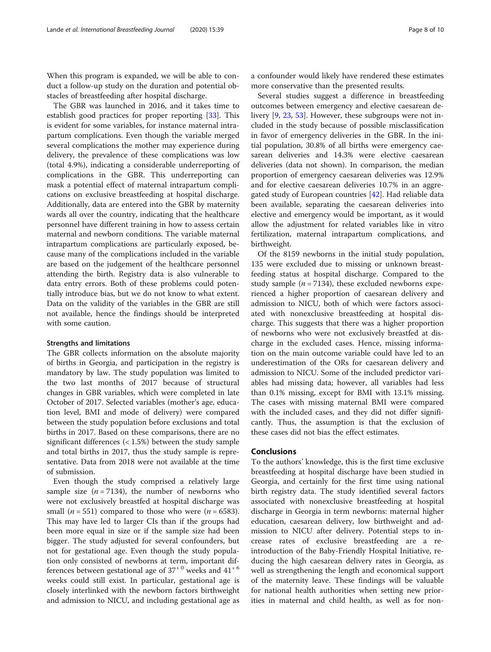When this program is expanded, we will be able to conduct a follow-up study on the duration and potential obstacles of breastfeeding after hospital discharge.

The GBR was launched in 2016, and it takes time to establish good practices for proper reporting [\[33\]](#page-9-0). This is evident for some variables, for instance maternal intrapartum complications. Even though the variable merged several complications the mother may experience during delivery, the prevalence of these complications was low (total 4.9%), indicating a considerable underreporting of complications in the GBR. This underreporting can mask a potential effect of maternal intrapartum complications on exclusive breastfeeding at hospital discharge. Additionally, data are entered into the GBR by maternity wards all over the country, indicating that the healthcare personnel have different training in how to assess certain maternal and newborn conditions. The variable maternal intrapartum complications are particularly exposed, because many of the complications included in the variable are based on the judgement of the healthcare personnel attending the birth. Registry data is also vulnerable to data entry errors. Both of these problems could potentially introduce bias, but we do not know to what extent. Data on the validity of the variables in the GBR are still not available, hence the findings should be interpreted with some caution.

#### Strengths and limitations

The GBR collects information on the absolute majority of births in Georgia, and participation in the registry is mandatory by law. The study population was limited to the two last months of 2017 because of structural changes in GBR variables, which were completed in late October of 2017. Selected variables (mother's age, education level, BMI and mode of delivery) were compared between the study population before exclusions and total births in 2017. Based on these comparisons, there are no significant differences (< 1.5%) between the study sample and total births in 2017, thus the study sample is representative. Data from 2018 were not available at the time of submission.

Even though the study comprised a relatively large sample size  $(n = 7134)$ , the number of newborns who were not exclusively breastfed at hospital discharge was small ( $n = 551$ ) compared to those who were ( $n = 6583$ ). This may have led to larger CIs than if the groups had been more equal in size or if the sample size had been bigger. The study adjusted for several confounders, but not for gestational age. Even though the study population only consisted of newborns at term, important differences between gestational age of  $37^{+0}$  weeks and  $41^{+6}$ weeks could still exist. In particular, gestational age is closely interlinked with the newborn factors birthweight and admission to NICU, and including gestational age as a confounder would likely have rendered these estimates more conservative than the presented results.

Several studies suggest a difference in breastfeeding outcomes between emergency and elective caesarean delivery [\[9](#page-8-0), [23](#page-8-0), [53](#page-9-0)]. However, these subgroups were not included in the study because of possible misclassification in favor of emergency deliveries in the GBR. In the initial population, 30.8% of all births were emergency caesarean deliveries and 14.3% were elective caesarean deliveries (data not shown). In comparison, the median proportion of emergency caesarean deliveries was 12.9% and for elective caesarean deliveries 10.7% in an aggregated study of European countries [[42\]](#page-9-0). Had reliable data been available, separating the caesarean deliveries into elective and emergency would be important, as it would allow the adjustment for related variables like in vitro fertilization, maternal intrapartum complications, and birthweight.

Of the 8159 newborns in the initial study population, 135 were excluded due to missing or unknown breastfeeding status at hospital discharge. Compared to the study sample ( $n = 7134$ ), these excluded newborns experienced a higher proportion of caesarean delivery and admission to NICU, both of which were factors associated with nonexclusive breastfeeding at hospital discharge. This suggests that there was a higher proportion of newborns who were not exclusively breastfed at discharge in the excluded cases. Hence, missing information on the main outcome variable could have led to an underestimation of the ORs for caesarean delivery and admission to NICU. Some of the included predictor variables had missing data; however, all variables had less than 0.1% missing, except for BMI with 13.1% missing. The cases with missing maternal BMI were compared with the included cases, and they did not differ significantly. Thus, the assumption is that the exclusion of these cases did not bias the effect estimates.

#### Conclusions

To the authors' knowledge, this is the first time exclusive breastfeeding at hospital discharge have been studied in Georgia, and certainly for the first time using national birth registry data. The study identified several factors associated with nonexclusive breastfeeding at hospital discharge in Georgia in term newborns: maternal higher education, caesarean delivery, low birthweight and admission to NICU after delivery. Potential steps to increase rates of exclusive breastfeeding are a reintroduction of the Baby-Friendly Hospital Initiative, reducing the high caesarean delivery rates in Georgia, as well as strengthening the length and economical support of the maternity leave. These findings will be valuable for national health authorities when setting new priorities in maternal and child health, as well as for non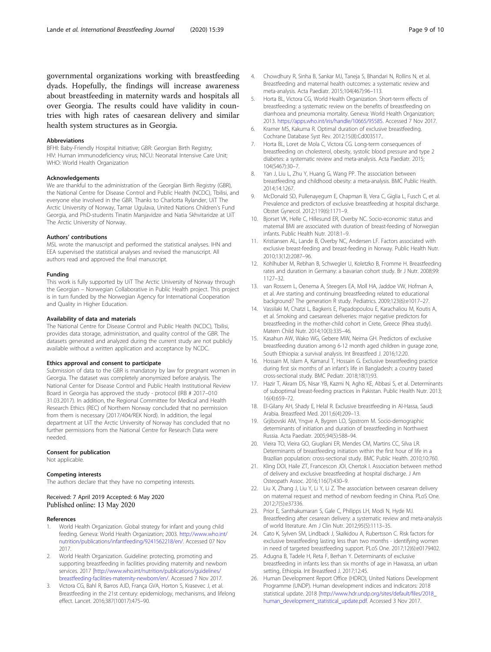<span id="page-8-0"></span>governmental organizations working with breastfeeding dyads. Hopefully, the findings will increase awareness about breastfeeding in maternity wards and hospitals all over Georgia. The results could have validity in countries with high rates of caesarean delivery and similar health system structures as in Georgia.

#### Abbreviations

BFHI: Baby-Friendly Hospital Initiative; GBR: Georgian Birth Registry; HIV: Human immunodeficiency virus; NICU: Neonatal Intensive Care Unit; WHO: World Health Organization

#### Acknowledgements

We are thankful to the administration of the Georgian Birth Registry (GBR), the National Centre for Disease Control and Public Health (NCDC), Tbilisi, and everyone else involved in the GBR. Thanks to Charlotta Rylander, UiT The Arctic University of Norway, Tamar Ugulava, United Nations Children's Fund Georgia, and PhD-students Tinatin Manjavidze and Natia Skhvitaridze at UiT The Arctic University of Norway.

#### Authors' contributions

MSL wrote the manuscript and performed the statistical analyses. IHN and EEA supervised the statistical analyses and revised the manuscript. All authors read and approved the final manuscript.

#### Funding

This work is fully supported by UiT The Arctic University of Norway through the Georgian – Norwegian Collaborative in Public Health project. This project is in turn funded by the Norwegian Agency for International Cooperation and Quality in Higher Education.

#### Availability of data and materials

The National Centre for Disease Control and Public Health (NCDC), Tbilisi, provides data storage, administration, and quality control of the GBR. The datasets generated and analyzed during the current study are not publicly available without a written application and acceptance by NCDC.

#### Ethics approval and consent to participate

Submission of data to the GBR is mandatory by law for pregnant women in Georgia. The dataset was completely anonymized before analysis. The National Center for Disease Control and Public Health Institutional Review Board in Georgia has approved the study - protocol (IRB # 2017–010 31.03.2017). In addition, the Regional Committee for Medical and Health Research Ethics (REC) of Northern Norway concluded that no permission from them is necessary (2017/404/REK Nord). In addition, the legal department at UiT the Arctic University of Norway has concluded that no further permissions from the National Centre for Research Data were needed.

#### Consent for publication Not applicable.

# Competing interests

The authors declare that they have no competing interests.

#### Received: 7 April 2019 Accepted: 6 May 2020 Published online: 13 May 2020

#### References

- 1. World Health Organization. Global strategy for infant and young child feeding. Geneva: World Health Organization; 2003. [http://www.who.int/](http://www.who.int/nutrition/publications/infantfeeding/9241562218/en/) [nutrition/publications/infantfeeding/9241562218/en/](http://www.who.int/nutrition/publications/infantfeeding/9241562218/en/). Accessed 07 Nov 2017.
- 2. World Health Organization. Guideline: protecting, promoting and supporting breastfeeding in facilities providing maternity and newborn services. 2017 [[http://www.who.int/nutrition/publications/guidelines/](http://www.who.int/nutrition/publications/guidelines/breastfeeding-facilities-maternity-newborn/en/) [breastfeeding-facilities-maternity-newborn/en/](http://www.who.int/nutrition/publications/guidelines/breastfeeding-facilities-maternity-newborn/en/). Accessed 7 Nov 2017.
- Victora CG, Bahl R, Barros AJD, França GVA, Horton S, Krasevec J, et al. Breastfeeding in the 21st century: epidemiology, mechanisms, and lifelong effect. Lancet. 2016;387(10017):475–90.
- 4. Chowdhury R, Sinha B, Sankar MJ, Taneja S, Bhandari N, Rollins N, et al. Breastfeeding and maternal health outcomes: a systematic review and meta-analysis. Acta Paediatr. 2015;104(467):96–113.
- Horta BL, Victora CG, World Health Organization. Short-term effects of breastfeeding: a systematic review on the benefits of breastfeeding on diarrhoea and pneumonia mortality. Geneva: World Health Organization; 2013. <https://apps.who.int/iris/handle/10665/95585>. Accessed 7 Nov 2017.
- 6. Kramer MS, Kakuma R. Optimal duration of exclusive breastfeeding. Cochrane Database Syst Rev. 2012;15(8):Cd003517..
- 7. Horta BL, Loret de Mola C, Victora CG. Long-term consequences of breastfeeding on cholesterol, obesity, systolic blood pressure and type 2 diabetes: a systematic review and meta-analysis. Acta Paediatr. 2015; 104(S467):30–7.
- 8. Yan J, Liu L, Zhu Y, Huang G, Wang PP. The association between breastfeeding and childhood obesity: a meta-analysis. BMC Public Health. 2014;14:1267.
- 9. McDonald SD, Pullenayegum E, Chapman B, Vera C, Giglia L, Fusch C, et al. Prevalence and predictors of exclusive breastfeeding at hospital discharge. Obstet Gynecol. 2012;119(6):1171–9.
- 10. Bjorset VK, Helle C, Hillesund ER, Overby NC. Socio-economic status and maternal BMI are associated with duration of breast-feeding of Norwegian infants. Public Health Nutr. 2018:1–9.
- 11. Kristiansen AL, Lande B, Overby NC, Andersen LF. Factors associated with exclusive breast-feeding and breast-feeding in Norway. Public Health Nutr. 2010;13(12):2087–96.
- 12. Kohlhuber M, Rebhan B, Schwegler U, Koletzko B, Fromme H. Breastfeeding rates and duration in Germany: a bavarian cohort study. Br J Nutr. 2008;99: 1127–32.
- 13. van Rossem L, Oenema A, Steegers EA, Moll HA, Jaddoe VW, Hofman A, et al. Are starting and continuing breastfeeding related to educational background? The generation R study. Pediatrics. 2009;123(6):e1017–27.
- 14. Vassilaki M, Chatzi L, Bagkeris E, Papadopoulou E, Karachaliou M, Koutis A, et al. Smoking and caesarean deliveries: major negative predictors for breastfeeding in the mother-child cohort in Crete, Greece (Rhea study). Matern Child Nutr. 2014;10(3):335–46.
- 15. Kasahun AW, Wako WG, Gebere MW, Neima GH. Predictors of exclusive breastfeeding duration among 6-12 month aged children in gurage zone, South Ethiopia: a survival analysis. Int Breastfeed J. 2016;12:20.
- 16. Hossain M, Islam A, Kamarul T, Hossain G. Exclusive breastfeeding practice during first six months of an infant's life in Bangladesh: a country based cross-sectional study. BMC Pediatr. 2018;18(1):93.
- 17. Hazir T, Akram DS, Nisar YB, Kazmi N, Agho KE, Abbasi S, et al. Determinants of suboptimal breast-feeding practices in Pakistan. Public Health Nutr. 2013; 16(4):659–72.
- 18. El-Gilany AH, Shady E, Helal R. Exclusive breastfeeding in Al-Hassa, Saudi Arabia. Breastfeed Med. 2011;6(4):209–13.
- 19. Grjibovski AM, Yngve A, Bygren LO, Sjostrom M. Socio-demographic determinants of initiation and duration of breastfeeding in Northwest Russia. Acta Paediatr. 2005;94(5):588–94.
- 20. Vieira TO, Vieira GO, Giugliani ER, Mendes CM, Martins CC, Silva LR. Determinants of breastfeeding initiation within the first hour of life in a Brazilian population: cross-sectional study. BMC Public Health. 2010;10:760.
- 21. Kling DOI, Haile ZT, Francescon JOI, Chertok I. Association between method of delivery and exclusive breastfeeding at hospital discharge. J Am Osteopath Assoc. 2016;116(7):430–9.
- 22. Liu X, Zhang J, Liu Y, Li Y, Li Z. The association between cesarean delivery on maternal request and method of newborn feeding in China. PLoS One. 2012;7(5):e37336.
- 23. Prior E, Santhakumaran S, Gale C, Philipps LH, Modi N, Hyde MJ. Breastfeeding after cesarean delivery: a systematic review and meta-analysis of world literature. Am J Clin Nutr. 2012;95(5):1113–35.
- 24. Cato K, Sylven SM, Lindback J, Skalkidou A, Rubertsson C. Risk factors for exclusive breastfeeding lasting less than two months - identifying women in need of targeted breastfeeding support. PLoS One. 2017;12(6):e0179402.
- 25. Adugna B, Tadele H, Reta F, Berhan Y. Determinants of exclusive breastfeeding in infants less than six months of age in Hawassa, an urban setting, Ethiopia. Int Breastfeed J. 2017;12:45.
- 26. Human Development Report Office (HDRO), United Nations Development Programme (UNDP). Human development indices and indicators: 2018 statistical update. 2018 [[http://www.hdr.undp.org/sites/default/files/2018\\_](http://www.hdr.undp.org/sites/default/files/2018_human_development_statistical_update.pdf) [human\\_development\\_statistical\\_update.pdf](http://www.hdr.undp.org/sites/default/files/2018_human_development_statistical_update.pdf). Accessed 3 Nov 2017.